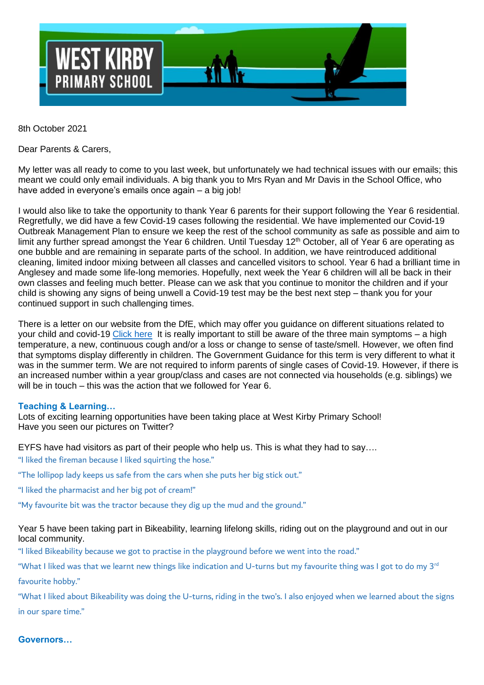

8th October 2021

Dear Parents & Carers

My letter was all ready to come to you last week, but unfortunately we had technical issues with our emails; this meant we could only email individuals. A big thank you to Mrs Ryan and Mr Davis in the School Office, who have added in everyone's emails once again – a big job!

I would also like to take the opportunity to thank Year 6 parents for their support following the Year 6 residential. Regretfully, we did have a few Covid-19 cases following the residential. We have implemented our Covid-19 Outbreak Management Plan to ensure we keep the rest of the school community as safe as possible and aim to limit any further spread amongst the Year 6 children. Until Tuesday 12<sup>th</sup> October, all of Year 6 are operating as one bubble and are remaining in separate parts of the school. In addition, we have reintroduced additional cleaning, limited indoor mixing between all classes and cancelled visitors to school. Year 6 had a brilliant time in Anglesey and made some life-long memories. Hopefully, next week the Year 6 children will all be back in their own classes and feeling much better. Please can we ask that you continue to monitor the children and if your child is showing any signs of being unwell a Covid-19 test may be the best next step – thank you for your continued support in such challenging times.

There is a letter on our website from the DfE, which may offer you guidance on different situations related to your child and covid-19 [Click here](https://westkirby-primary.eschools.co.uk/website/communication_to_parents/17369) It is really important to still be aware of the three main symptoms – a high temperature, a new, continuous cough and/or a loss or change to sense of taste/smell. However, we often find that symptoms display differently in children. The Government Guidance for this term is very different to what it was in the summer term. We are not required to inform parents of single cases of Covid-19. However, if there is an increased number within a year group/class and cases are not connected via households (e.g. siblings) we will be in touch – this was the action that we followed for Year 6.

## **Teaching & Learning…**

Lots of exciting learning opportunities have been taking place at West Kirby Primary School! Have you seen our pictures on Twitter?

EYFS have had visitors as part of their people who help us. This is what they had to say…. "I liked the fireman because I liked squirting the hose."

"The lollipop lady keeps us safe from the cars when she puts her big stick out."

"I liked the pharmacist and her big pot of cream!"

"My favourite bit was the tractor because they dig up the mud and the ground."

#### Year 5 have been taking part in Bikeability, learning lifelong skills, riding out on the playground and out in our local community.

"I liked Bikeability because we got to practise in the playground before we went into the road."

"What I liked was that we learnt new things like indication and U-turns but my favourite thing was I got to do my  $3^{rd}$ 

favourite hobby."

"What I liked about Bikeability was doing the U-turns, riding in the two's. I also enjoyed when we learned about the signs in our spare time."

## **Governors…**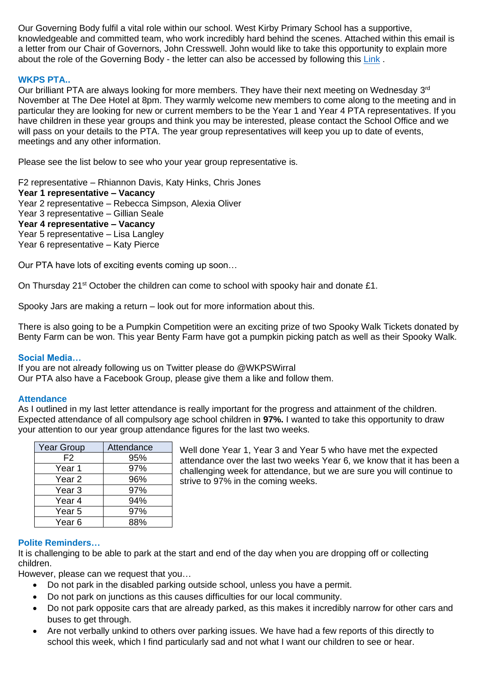Our Governing Body fulfil a vital role within our school. West Kirby Primary School has a supportive, knowledgeable and committed team, who work incredibly hard behind the scenes. Attached within this email is a letter from our Chair of Governors, John Cresswell. John would like to take this opportunity to explain more about the role of the Governing Body - the letter can also be accessed by following this [Link](https://westkirby-primary.eschools.co.uk/website/communication_to_parents/17369).

# **WKPS PTA..**

Our brilliant PTA are always looking for more members. They have their next meeting on Wednesday  $3^{rd}$ November at The Dee Hotel at 8pm. They warmly welcome new members to come along to the meeting and in particular they are looking for new or current members to be the Year 1 and Year 4 PTA representatives. If you have children in these year groups and think you may be interested, please contact the School Office and we will pass on your details to the PTA. The year group representatives will keep you up to date of events, meetings and any other information.

Please see the list below to see who your year group representative is.

F2 representative – Rhiannon Davis, Katy Hinks, Chris Jones **Year 1 representative – Vacancy**  Year 2 representative – Rebecca Simpson, Alexia Oliver Year 3 representative – Gillian Seale **Year 4 representative – Vacancy** Year 5 representative – Lisa Langley Year 6 representative – Katy Pierce

Our PTA have lots of exciting events coming up soon…

On Thursday 21<sup>st</sup> October the children can come to school with spooky hair and donate £1.

Spooky Jars are making a return – look out for more information about this.

There is also going to be a Pumpkin Competition were an exciting prize of two Spooky Walk Tickets donated by Benty Farm can be won. This year Benty Farm have got a pumpkin picking patch as well as their Spooky Walk.

#### **Social Media…**

If you are not already following us on Twitter please do @WKPSWirral Our PTA also have a Facebook Group, please give them a like and follow them.

#### **Attendance**

As I outlined in my last letter attendance is really important for the progress and attainment of the children. Expected attendance of all compulsory age school children in **97%.** I wanted to take this opportunity to draw your attention to our year group attendance figures for the last two weeks.

| <b>Year Group</b> | Attendance |
|-------------------|------------|
| F2                | 95%        |
| Year 1            | 97%        |
| Year 2            | 96%        |
| Year 3            | 97%        |
| Year 4            | 94%        |
| Year 5            | 97%        |
| Year 6            | 88%        |

Well done Year 1, Year 3 and Year 5 who have met the expected attendance over the last two weeks Year 6, we know that it has been a challenging week for attendance, but we are sure you will continue to strive to 97% in the coming weeks.

#### **Polite Reminders…**

It is challenging to be able to park at the start and end of the day when you are dropping off or collecting children.

However, please can we request that you…

- Do not park in the disabled parking outside school, unless you have a permit.
- Do not park on junctions as this causes difficulties for our local community.
- Do not park opposite cars that are already parked, as this makes it incredibly narrow for other cars and buses to get through.
- Are not verbally unkind to others over parking issues. We have had a few reports of this directly to school this week, which I find particularly sad and not what I want our children to see or hear.